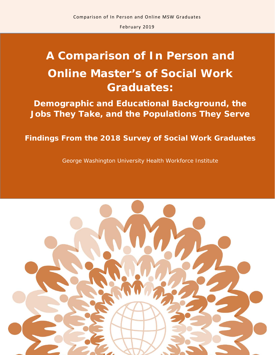# **A Comparison of In Person and Online Master's of Social Work Graduates:**

**Demographic and Educational Background, the Jobs They Take, and the Populations They Serve**

# **Findings From the 2018 Survey of Social Work Graduates**

George Washington University Health Workforce Institute

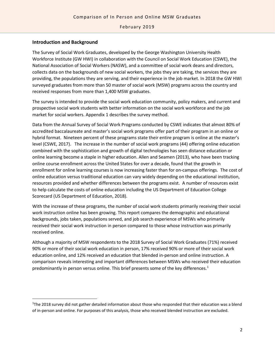#### **Introduction and Background**

The Survey of Social Work Graduates, developed by the George Washington University Health Workforce Institute (GW HWI) in collaboration with the Council on Social Work Education (CSWE), the National Association of Social Workers (NASW), and a committee of social work deans and directors, collects data on the backgrounds of new social workers, the jobs they are taking, the services they are providing, the populations they are serving, and their experience in the job market. In 2018 the GW HWI surveyed graduates from more than 50 master of social work (MSW) programs across the country and received responses from more than 1,400 MSW graduates.

The survey is intended to provide the social work education community, policy makers, and current and prospective social work students with better information on the social work workforce and the job market for social workers. Appendix 1 describes the survey method.

Data from the Annual Survey of Social Work Programs conducted by CSWE indicates that almost 80% of accredited baccalaureate and master's social work programs offer part of their program in an online or hybrid format. Nineteen percent of these programs state their entire program is online at the master's level (CSWE, 2017). The increase in the number of social work programs (44) offering online education combined with the sophistication and growth of digital technologies has seen distance education or online learning become a staple in higher education. Allen and Seamen (2013), who have been tracking online course enrollment across the United States for over a decade, found that the growth in enrollment for online learning courses is now increasing faster than for on-campus offerings. The cost of online education versus traditional education can vary widely depending on the educational institution, resources provided and whether differences between the programs exist. A number of resources exist to help calculate the costs of online education including the US Department of Education College Scorecard (US Department of Education, 2018).

With the increase of these programs, the number of social work students primarily receiving their social work instruction online has been growing. This report compares the demographic and educational backgrounds, jobs taken, populations served, and job search experience of MSWs who primarily received their social work instruction in person compared to those whose instruction was primarily received online.

Although a majority of MSW respondents to the 2018 Survey of Social Work Graduates (71%) received 90% or more of their social work education in person, 17% received 90% or more of their social work education online, and 12% received an education that blended in-person and online instruction. A comparison reveals interesting and important differences between MSWs who received their education predominantly in person versus online. This brief presents some of the key differences.<sup>[1](#page-1-0)</sup>

<span id="page-1-0"></span> $\overline{1}$ <sup>1</sup>The 2018 survey did not gather detailed information about those who responded that their education was a blend of in-person and online. For purposes of this analysis, those who received blended instruction are excluded.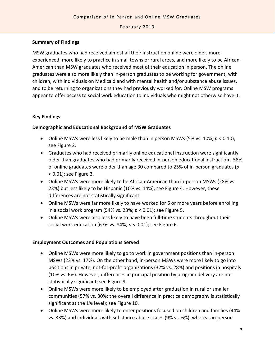#### **Summary of Findings**

MSW graduates who had received almost all their instruction online were older, more experienced, more likely to practice in small towns or rural areas, and more likely to be African-American than MSW graduates who received most of their education in person. The online graduates were also more likely than in-person graduates to be working for government, with children, with individuals on Medicaid and with mental health and/or substance abuse issues, and to be returning to organizations they had previously worked for. Online MSW programs appear to offer access to social work education to individuals who might not otherwise have it.

#### **Key Findings**

#### **Demographic and Educational Background of MSW Graduates**

- Online MSWs were less likely to be male than in person MSWs (5% vs. 10%; *p* < 0.10); see Figure 2.
- Graduates who had received primarily online educational instruction were significantly older than graduates who had primarily received in-person educational instruction: 58% of online graduates were older than age 30 compared to 25% of in-person graduates (*p* < 0.01); see Figure 3.
- Online MSWs were more likely to be African-American than in-person MSWs (28% vs. 23%) but less likely to be Hispanic (10% vs. 14%); see Figure 4. However, these differences are not statistically significant.
- Online MSWs were far more likely to have worked for 6 or more years before enrolling in a social work program (54% vs. 23%; *p* < 0.01); see Figure 5.
- Online MSWs were also less likely to have been full-time students throughout their social work education (67% vs. 84%; *p* < 0.01); see Figure 6.

#### **Employment Outcomes and Populations Served**

- Online MSWs were more likely to go to work in government positions than in-person MSWs (23% vs. 17%). On the other hand, in-person MSWs were more likely to go into positions in private, not-for-profit organizations (32% vs. 28%) and positions in hospitals (10% vs. 6%). However, differences in principal position by program delivery are not statistically significant; see Figure 9.
- Online MSWs were more likely to be employed after graduation in rural or smaller communities (57% vs. 30%; the overall difference in practice demography is statistically significant at the 1% level); see Figure 10.
- Online MSWs were more likely to enter positions focused on children and families (44% vs. 33%) and individuals with substance abuse issues (9% vs. 6%), whereas in-person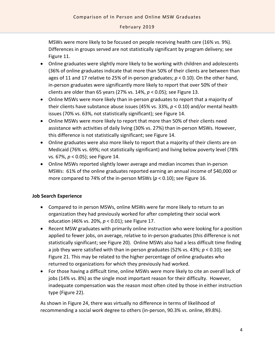MSWs were more likely to be focused on people receiving health care (16% vs. 9%). Differences in groups served are not statistically significant by program delivery; see Figure 11.

- Online graduates were slightly more likely to be working with children and adolescents (36% of online graduates indicate that more than 50% of their clients are between than ages of 11 and 17 relative to 25% of in-person graduates; *p* < 0.10). On the other hand, in-person graduates were significantly more likely to report that over 50% of their clients are older than 65 years (27% vs. 14%, *p* < 0.05); see Figure 13.
- Online MSWs were more likely than in-person graduates to report that a majority of their clients have substance abuse issues (45% vs. 33%, *p* < 0.10) and/or mental health issues (70% vs. 63%, not statistically significant); see Figure 14.
- Online MSWs were more likely to report that more than 50% of their clients need assistance with activities of daily living (30% vs. 27%) than in-person MSWs. However, this difference is not statistically significant; see Figure 14.
- Online graduates were also more likely to report that a majority of their clients are on Medicaid (76% vs. 69%; not statistically significant) and living below poverty level (78% vs. 67%, *p* < 0.05); see Figure 14.
- Online MSWs reported slightly lower average and median incomes than in-person MSWs: 61% of the online graduates reported earning an annual income of \$40,000 or more compared to 74% of the in-person MSWs (*p* < 0.10); see Figure 16.

#### **Job Search Experience**

- Compared to in person MSWs, online MSWs were far more likely to return to an organization they had previously worked for after completing their social work education (46% vs. 20%, *p* < 0.01); see Figure 17.
- Recent MSW graduates with primarily online instruction who were looking for a position applied to fewer jobs, on average, relative to in-person graduates (this difference is not statistically significant; see Figure 20). Online MSWs also had a less difficult time finding a job they were satisfied with than in-person graduates (52% vs. 43%; *p* < 0.10); see Figure 21. This may be related to the higher percentage of online graduates who returned to organizations for which they previously had worked.
- For those having a difficult time, online MSWs were more likely to cite an overall lack of jobs (14% vs. 8%) as the single most important reason for their difficulty. However, inadequate compensation was the reason most often cited by those in either instruction type (Figure 22).

As shown in Figure 24, there was virtually no difference in terms of likelihood of recommending a social work degree to others (in-person, 90.3% vs. online, 89.8%).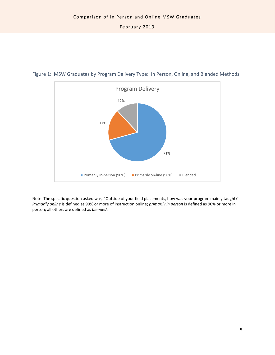

Figure 1: MSW Graduates by Program Delivery Type: In Person, Online, and Blended Methods

Note: The specific question asked was, "Outside of your field placements, how was your program mainly taught?" *Primarily online* is defined as 90% or more of instruction online; *primarily in person* is defined as 90% or more in person; all others are defined as *blended*.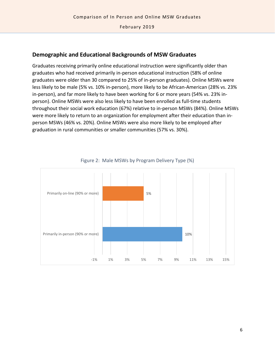## **Demographic and Educational Backgrounds of MSW Graduates**

Graduates receiving primarily online educational instruction were significantly older than graduates who had received primarily in-person educational instruction (58% of online graduates were older than 30 compared to 25% of in-person graduates). Online MSWs were less likely to be male (5% vs. 10% in-person), more likely to be African-American (28% vs. 23% in-person), and far more likely to have been working for 6 or more years (54% vs. 23% inperson). Online MSWs were also less likely to have been enrolled as full-time students throughout their social work education (67%) relative to in-person MSWs (84%). Online MSWs were more likely to return to an organization for employment after their education than inperson MSWs (46% vs. 20%). Online MSWs were also more likely to be employed after graduation in rural communities or smaller communities (57% vs. 30%).



#### Figure 2: Male MSWs by Program Delivery Type (%)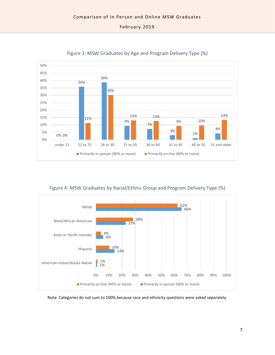

Figure 3: MSW Graduates by Age and Program Delivery Type (%)

#### Figure 4: MSW Graduates by Racial/Ethnic Group and Program Delivery Type (%)



Note: Categories do not sum to 100% because race and ethnicity questions were asked separately.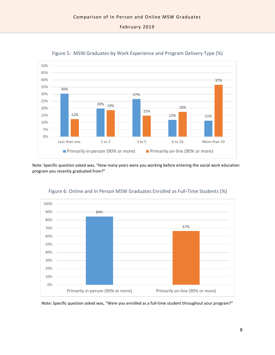

Figure 5: MSW Graduates by Work Experience and Program Delivery Type (%)

Note: Specific question asked was, "How many years were you working before entering the social work education program you recently graduated from?"



#### Figure 6: Online and In Person MSW Graduates Enrolled as Full-Time Students (%)

Note: Specific question asked was, "Were you enrolled as a full-time student throughout your program?"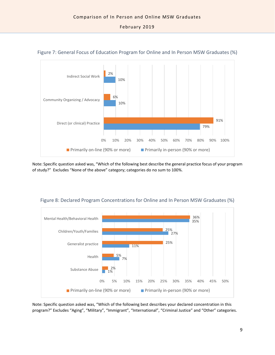

#### Figure 7: General Focus of Education Program for Online and In Person MSW Graduates (%)

Note: Specific question asked was, "Which of the following best describe the general practice focus of your program of study?" Excludes "None of the above" category; categories do no sum to 100%.



Figure 8: Declared Program Concentrations for Online and In Person MSW Graduates (%)

Note: Specific question asked was, "Which of the following best describes your declared concentration in this program?" Excludes "Aging", "Military", "Immigrant", "International", "Criminal Justice" and "Other" categories.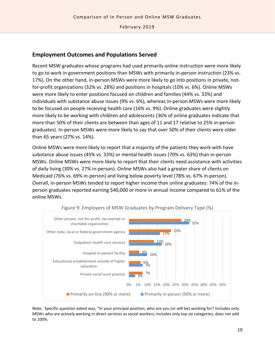### **Employment Outcomes and Populations Served**

Recent MSW graduates whose programs had used primarily online instruction were more likely to go to work in government positions than MSWs with primarily in-person instruction (23% vs. 17%). On the other hand, in-person MSWs were more likely to go into positions in private, notfor-profit organizations (32% vs. 28%) and positions in hospitals (10% vs. 6%). Online MSWs were more likely to enter positions focused on children and families (44% vs. 33%) and individuals with substance abuse issues (9% vs. 6%), whereas in-person MSWs were more likely to be focused on people receiving health care (16% vs. 9%). Online graduates were slightly more likely to be working with children and adolescents (36% of online graduates indicate that more than 50% of their clients are between than ages of 11 and 17 relative to 25% in-person graduates). In-person MSWs were more likely to say that over 50% of their clients were older than 65 years (27% vs. 14%).

Online MSWs were more likely to report that a majority of the patients they work with have substance abuse issues (45% vs. 33%) or mental health issues (70% vs. 63%) than in-person MSWs. Online MSWs were more likely to report that their clients need assistance with activities of daily living (30% vs. 27% in-person). Online MSWs also had a greater share of clients on Medicaid (76% vs. 69% in-person) and living below poverty level (78% vs. 67% in-person). Overall, in-person MSWs tended to report higher income than online graduates: 74% of the inperson graduates reported earning \$40,000 or more in annual income compared to 61% of the online MSWs.



Note: Specific question asked was, "In your principal position, who are you (or will be) working for? Includes only MSWs who are actively working in direct services as social workers; includes only top six categories; does not add to 100%.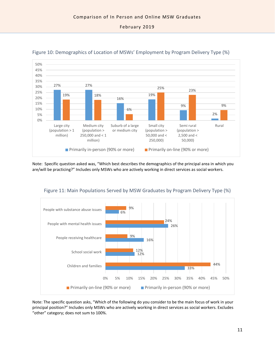



Note: Specific question asked was, "Which best describes the demographics of the principal area in which you are/will be practicing?" Includes only MSWs who are actively working in direct services as social workers.



Figure 11: Main Populations Served by MSW Graduates by Program Delivery Type (%)

Note: The specific question asks, "Which of the following do you consider to be the main focus of work in your principal position?" Includes only MSWs who are actively working in direct services as social workers. Excludes "other" category; does not sum to 100%.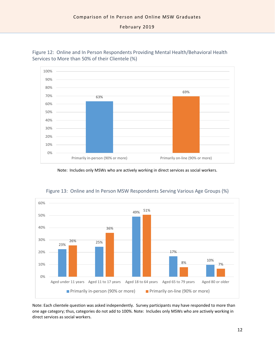

Figure 12: Online and In Person Respondents Providing Mental Health/Behavioral Health Services to More than 50% of their Clientele (%)

Note: Includes only MSWs who are actively working in direct services as social workers.



Figure 13: Online and In Person MSW Respondents Serving Various Age Groups (%)

Note: Each clientele question was asked independently. Survey participants may have responded to more than one age category; thus, categories do not add to 100%. Note: Includes only MSWs who are actively working in direct services as social workers.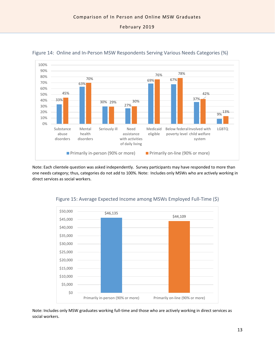



Note: Each clientele question was asked independently. Survey participants may have responded to more than one needs category; thus, categories do not add to 100%. Note: Includes only MSWs who are actively working in direct services as social workers.



Figure 15: Average Expected Income among MSWs Employed Full-Time (\$)

Note: Includes only MSW graduates working full-time and those who are actively working in direct services as social workers.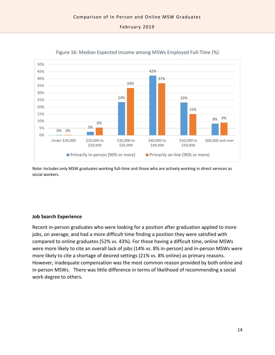

Figure 16: Median Expected Income among MSWs Employed Full-Time (%)

Note: Includes only MSW graduates working full-time and those who are actively working in direct services as social workers.

#### **Job Search Experience**

Recent in-person graduates who were looking for a position after graduation applied to more jobs, on average, and had a more difficult time finding a position they were satisfied with compared to online graduates (52% vs. 43%). For those having a difficult time, online MSWs were more likely to cite an overall lack of jobs (14% vs. 8% in-person) and in-person MSWs were more likely to cite a shortage of desired settings (21% vs. 8% online) as primary reasons. However, inadequate compensation was the most common reason provided by both online and in-person MSWs. There was little difference in terms of likelihood of recommending a social work degree to others.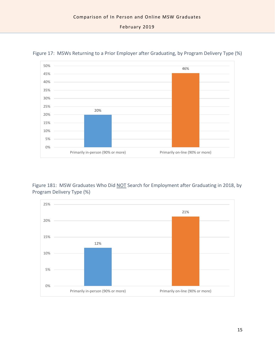

Figure 17: MSWs Returning to a Prior Employer after Graduating, by Program Delivery Type (%)

Figure 181: MSW Graduates Who Did NOT Search for Employment after Graduating in 2018, by Program Delivery Type (%)

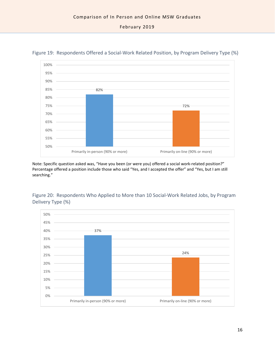

Figure 19: Respondents Offered a Social-Work Related Position, by Program Delivery Type (%)

Note: Specific question asked was, "Have you been (or were you) offered a social work-related position?" Percentage offered a position include those who said "Yes, and I accepted the offer" and "Yes, but I am still searching."



Figure 20: Respondents Who Applied to More than 10 Social-Work Related Jobs, by Program Delivery Type (%)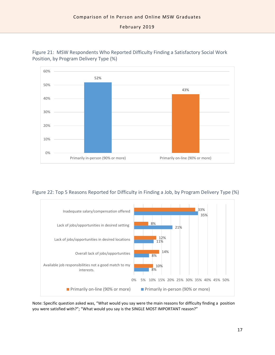

Figure 21: MSW Respondents Who Reported Difficulty Finding a Satisfactory Social Work Position, by Program Delivery Type (%)

Figure 22: Top 5 Reasons Reported for Difficulty in Finding a Job, by Program Delivery Type (%)



Note: Specific question asked was, "What would you say were the main reasons for difficulty finding a position you were satisfied with?"; "What would you say is the SINGLE MOST IMPORTANT reason?"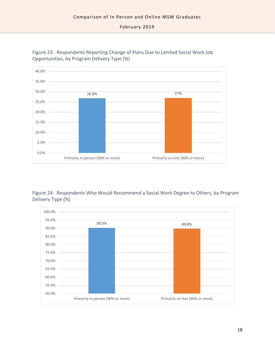

Figure 23: Respondents Reporting Change of Plans Due to Limited Social Work Job Opportunities, by Program Delivery Type (%)

Figure 24: Respondents Who Would Recommend a Social Work Degree to Others, by Program Delivery Type (%)

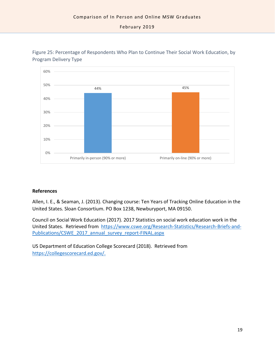

Figure 25: Percentage of Respondents Who Plan to Continue Their Social Work Education, by Program Delivery Type

#### **References**

Allen, I. E., & Seaman, J. (2013). Changing course: Ten Years of Tracking Online Education in the United States. Sloan Consortium. PO Box 1238, Newburyport, MA 09150.

Council on Social Work Education (2017). 2017 Statistics on social work education work in the United States. Retrieved from [https://www.cswe.org/Research-Statistics/Research-Briefs-and-](https://www.cswe.org/Research-Statistics/Research-Briefs-and-Publications/CSWE_2017_annual_survey_report-FINAL.aspx)[Publications/CSWE\\_2017\\_annual\\_survey\\_report-FINAL.aspx](https://www.cswe.org/Research-Statistics/Research-Briefs-and-Publications/CSWE_2017_annual_survey_report-FINAL.aspx)

US Department of Education College Scorecard (2018). Retrieved from [https://collegescorecard.ed.gov/.](https://collegescorecard.ed.gov/)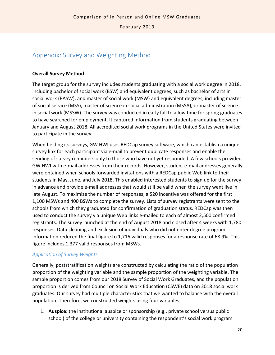## Appendix: Survey and Weighting Method

#### **Overall Survey Method**

The target group for the survey includes students graduating with a social work degree in 2018, including bachelor of social work (BSW) and equivalent degrees, such as bachelor of arts in social work (BASW), and master of social work (MSW) and equivalent degrees, including master of social service (MSS), master of science in social administration (MSSA), or master of science in social work (MSSW). The survey was conducted in early fall to allow time for spring graduates to have searched for employment. It captured information from students graduating between January and August 2018. All accredited social work programs in the United States were invited to participate in the survey.

When fielding its surveys, GW HWI uses REDCap survey software, which can establish a unique survey link for each participant via e-mail to prevent duplicate responses and enable the sending of survey reminders only to those who have not yet responded. A few schools provided GW HWI with e-mail addresses from their records. However, student e-mail addresses generally were obtained when schools forwarded invitations with a REDCap public Web link to their students in May, June, and July 2018. This enabled interested students to sign up for the survey in advance and provide e-mail addresses that would still be valid when the survey went live in late August. To maximize the number of responses, a \$20 incentive was offered for the first 1,100 MSWs and 400 BSWs to complete the survey. Lists of survey registrants were sent to the schools from which they graduated for confirmation of graduation status. REDCap was then used to conduct the survey via unique Web links e-mailed to each of almost 2,500 confirmed registrants. The survey launched at the end of August 2018 and closed after 4 weeks with 1,780 responses. Data cleaning and exclusion of individuals who did not enter degree program information reduced the final figure to 1,716 valid responses for a response rate of 68.9%. This figure includes 1,377 valid responses from MSWs.

#### *Application of Survey Weights*

Generally, poststratification weights are constructed by calculating the ratio of the population proportion of the weighting variable and the sample proportion of the weighting variable. The sample proportion comes from our 2018 Survey of Social Work Graduates, and the population proportion is derived from Council on Social Work Education (CSWE) data on 2018 social work graduates. Our survey had multiple characteristics that we wanted to balance with the overall population. Therefore, we constructed weights using four variables:

1. **Auspice**: the institutional auspice or sponsorship (e.g., private school versus public school) of the college or university containing the respondent's social work program